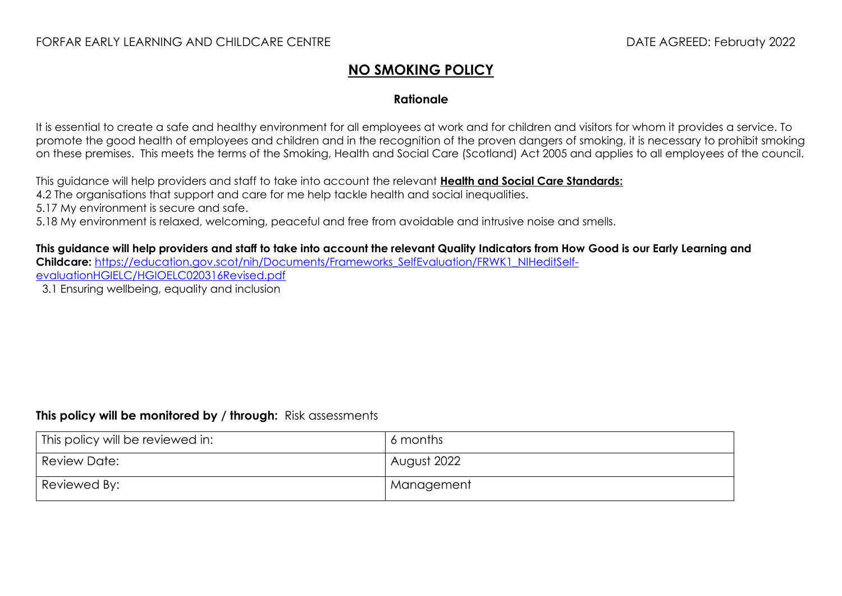## **NO SMOKING POLICY**

## **Rationale**

It is essential to create a safe and healthy environment for all employees at work and for children and visitors for whom it provides a service. To promote the good health of employees and children and in the recognition of the proven dangers of smoking, it is necessary to prohibit smoking on these premises. This meets the terms of the Smoking, Health and Social Care (Scotland) Act 2005 and applies to all employees of the council.

This guidance will help providers and staff to take into account the relevant **[Health and Social Care Standards:](https://www.gov.scot/binaries/content/documents/govscot/publications/advice-and-guidance/2017/06/health-social-care-standards-support-life/documents/00520693-pdf/00520693-pdf/govscot%3Adocument/00520693.pdf)**

4.2 The organisations that support and care for me help tackle health and social inequalities.

5.17 My environment is secure and safe.

5.18 My environment is relaxed, welcoming, peaceful and free from avoidable and intrusive noise and smells.

**This guidance will help providers and staff to take into account the relevant Quality Indicators from How Good is our Early Learning and Childcare:** [https://education.gov.scot/nih/Documents/Frameworks\\_SelfEvaluation/FRWK1\\_NIHeditSelf](https://education.gov.scot/nih/Documents/Frameworks_SelfEvaluation/FRWK1_NIHeditSelf-evaluationHGIELC/HGIOELC020316Revised.pdf)[evaluationHGIELC/HGIOELC020316Revised.pdf](https://education.gov.scot/nih/Documents/Frameworks_SelfEvaluation/FRWK1_NIHeditSelf-evaluationHGIELC/HGIOELC020316Revised.pdf)

3.1 Ensuring wellbeing, equality and inclusion

## **This policy will be monitored by / through:** Risk assessments

| This policy will be reviewed in: | 6 months    |
|----------------------------------|-------------|
| Review Date:                     | August 2022 |
| Reviewed By:                     | Management  |